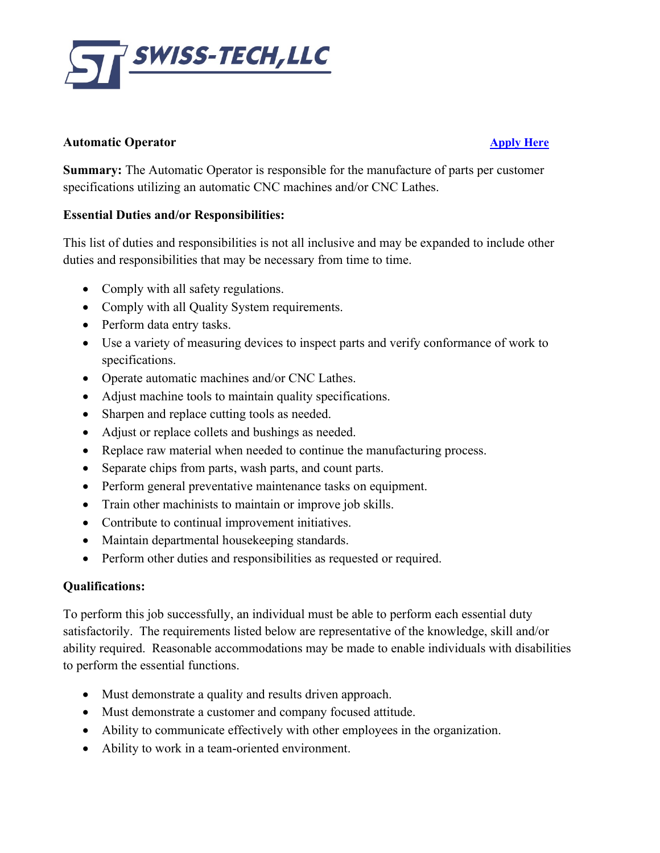

## **Automatic Operator [Apply Here](https://swisstechllc.com/openings/)**

**Summary:** The Automatic Operator is responsible for the manufacture of parts per customer specifications utilizing an automatic CNC machines and/or CNC Lathes.

## **Essential Duties and/or Responsibilities:**

This list of duties and responsibilities is not all inclusive and may be expanded to include other duties and responsibilities that may be necessary from time to time.

- Comply with all safety regulations.
- Comply with all Quality System requirements.
- Perform data entry tasks.
- Use a variety of measuring devices to inspect parts and verify conformance of work to specifications.
- Operate automatic machines and/or CNC Lathes.
- Adjust machine tools to maintain quality specifications.
- Sharpen and replace cutting tools as needed.
- Adjust or replace collets and bushings as needed.
- Replace raw material when needed to continue the manufacturing process.
- Separate chips from parts, wash parts, and count parts.
- Perform general preventative maintenance tasks on equipment.
- Train other machinists to maintain or improve job skills.
- Contribute to continual improvement initiatives.
- Maintain departmental house keeping standards.
- Perform other duties and responsibilities as requested or required.

## **Qualifications:**

To perform this job successfully, an individual must be able to perform each essential duty satisfactorily. The requirements listed below are representative of the knowledge, skill and/or ability required. Reasonable accommodations may be made to enable individuals with disabilities to perform the essential functions.

- Must demonstrate a quality and results driven approach.
- Must demonstrate a customer and company focused attitude.
- Ability to communicate effectively with other employees in the organization.
- Ability to work in a team-oriented environment.